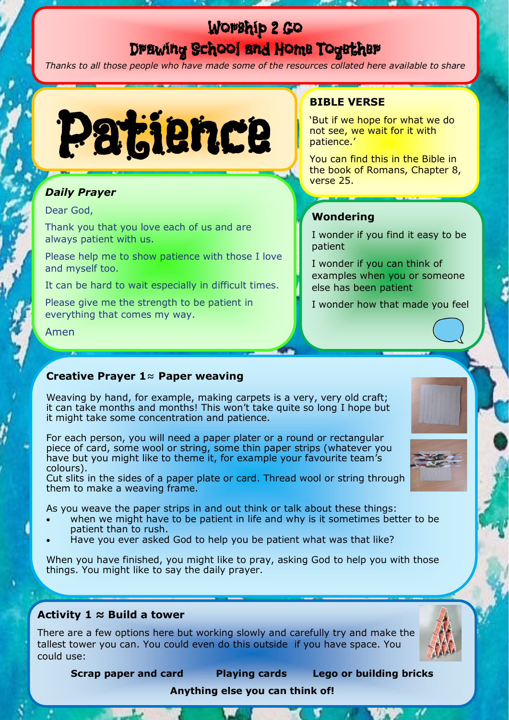# Worship 2 Go Drawing School and Home Together

*Thanks to all those people who have made some of the resources collated here available to share*



# *Daily Prayer*

### Dear God,

Thank you that you love each of us and are always patient with us.

Please help me to show patience with those I love and myself too.

It can be hard to wait especially in difficult times.

Please give me the strength to be patient in everything that comes my way.

Amen

# **BIBLE VERSE**

'But if we hope for what we do not see, we wait for it with patience.'

You can find this in the Bible in the book of Romans, Chapter 8, verse 25.

# **Wondering**

I wonder if you find it easy to be patient

I wonder if you can think of examples when you or someone else has been patient

I wonder how that made you feel

## **Creative Prayer 1**≈ **Paper weaving**

Weaving by hand, for example, making carpets is a very, very old craft; it can take months and months! This won't take quite so long I hope but it might take some concentration and patience.

For each person, you will need a paper plater or a round or rectangular piece of card, some wool or string, some thin paper strips (whatever you have but you might like to theme it, for example your favourite team's colours).

Cut slits in the sides of a paper plate or card. Thread wool or string through them to make a weaving frame.

As you weave the paper strips in and out think or talk about these things:

- when we might have to be patient in life and why is it sometimes better to be patient than to rush.
- Have you ever asked God to help you be patient what was that like?

When you have finished, you might like to pray, asking God to help you with those things. You might like to say the daily prayer.

## **Activity 1 ≈ Build a tower**

There are a few options here but working slowly and carefully try and make the tallest tower you can. You could even do this outside if you have space. You could use:



**Scrap paper and card Playing cards Lego or building bricks** 

## **Anything else you can think of!**